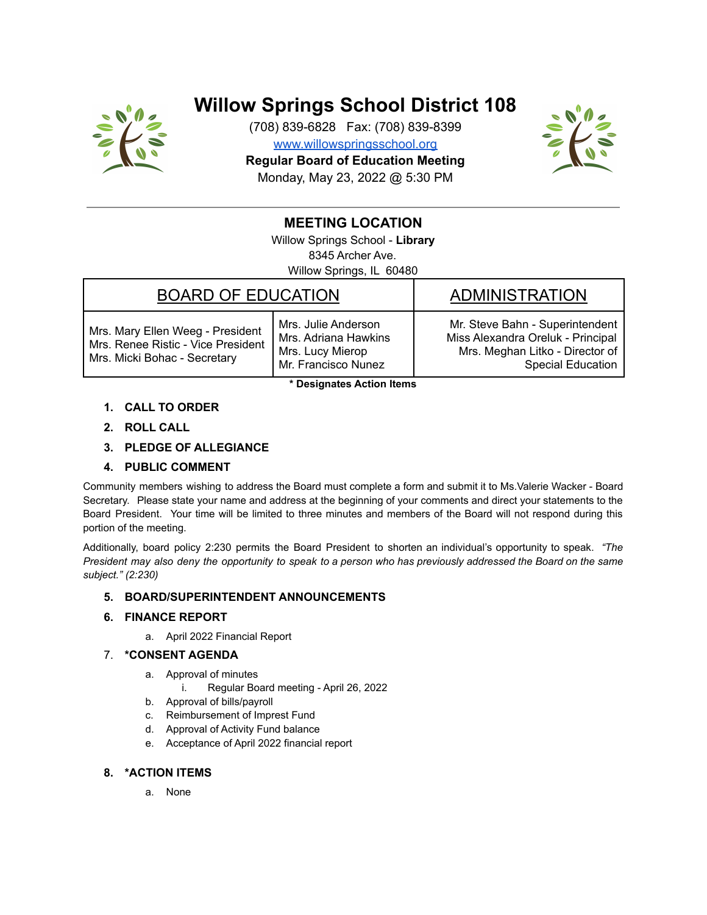

# **Willow Springs School District 108**

(708) 839-6828 Fax: (708) 839-8399 [www.willowspringsschool.org](http://www.willowspringsschool.org) **Regular Board of Education Meeting** Monday, May 23, 2022 @ 5:30 PM



# **MEETING LOCATION**

Willow Springs School - **Library** 8345 Archer Ave. Willow Springs, IL 60480

## BOARD OF EDUCATION FOR ADMINISTRATION

Mrs. Mary Ellen Weeg - President Mrs. Renee Ristic - Vice President Mrs. Micki Bohac - Secretary

Mrs. Julie Anderson Mrs. Adriana Hawkins Mrs. Lucy Mierop Mr. Francisco Nunez

Mr. Steve Bahn - Superintendent Miss Alexandra Oreluk - Principal Mrs. Meghan Litko - Director of Special Education

**\* Designates Action Items**

- **1. CALL TO ORDER**
- **2. ROLL CALL**
- **3. PLEDGE OF ALLEGIANCE**

### **4. PUBLIC COMMENT**

Community members wishing to address the Board must complete a form and submit it to Ms.Valerie Wacker - Board Secretary. Please state your name and address at the beginning of your comments and direct your statements to the Board President. Your time will be limited to three minutes and members of the Board will not respond during this portion of the meeting.

Additionally, board policy 2:230 permits the Board President to shorten an individual's opportunity to speak. *"The* President may also deny the opportunity to speak to a person who has previously addressed the Board on the same *subject." (2:230)*

### **5. BOARD/SUPERINTENDENT ANNOUNCEMENTS**

### **6. FINANCE REPORT**

a. April 2022 Financial Report

### 7. **\*CONSENT AGENDA**

- a. Approval of minutes
	- i. Regular Board meeting April 26, 2022
- b. Approval of bills/payroll
- c. Reimbursement of Imprest Fund
- d. Approval of Activity Fund balance
- e. Acceptance of April 2022 financial report

### **8. \*ACTION ITEMS**

a. None